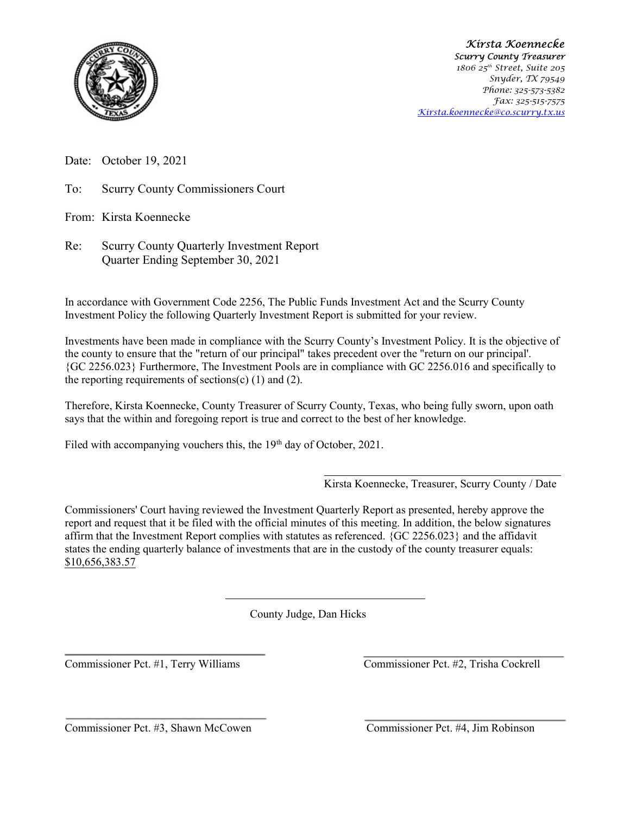

Kirsta Koennecke Scurry County Treasurer 1806 25<sup>th</sup> Street, Suite 205 Snyder, TX 79549 Phone: 325-573-5382 Fax: 325-515-7575 Kirsta.koennecke@co.scurry.tx.us

Date: October 19, 2021

To: Scurry County Commissioners Court

From: Kirsta Koennecke

Re: Scurry County Quarterly Investment Report Quarter Ending September 30, 2021

In accordance with Government Code 2256, The Public Funds Investment Act and the Scurry County Investment Policy the following Quarterly Investment Report is submitted for your review.

Investments have been made in compliance with the Scurry County's Investment Policy. It is the objective of the county to ensure that the "return of our principal" takes precedent over the "return on our principal'. {GC 2256.023} Furthermore, The Investment Pools are in compliance with GC 2256.016 and specifically to the reporting requirements of sections(c)  $(1)$  and  $(2)$ .

Therefore, Kirsta Koennecke, County Treasurer of Scurry County, Texas, who being fully sworn, upon oath says that the within and foregoing report is true and correct to the best of her knowledge.

Filed with accompanying vouchers this, the  $19<sup>th</sup>$  day of October, 2021.

Kirsta Koennecke, Treasurer, Scurry County / Date

Commissioners' Court having reviewed the Investment Quarterly Report as presented, hereby approve the report and request that it be filed with the official minutes of this meeting. In addition, the below signatures affirm that the Investment Report complies with statutes as referenced. {GC 2256.023} and the affidavit states the ending quarterly balance of investments that are in the custody of the county treasurer equals: \$10,656,383.57

County Judge, Dan Hicks

Commissioner Pct. #1, Terry Williams Commissioner Pct. #2, Trisha Cockrell

Commissioner Pct. #3, Shawn McCowen Commissioner Pct. #4, Jim Robinson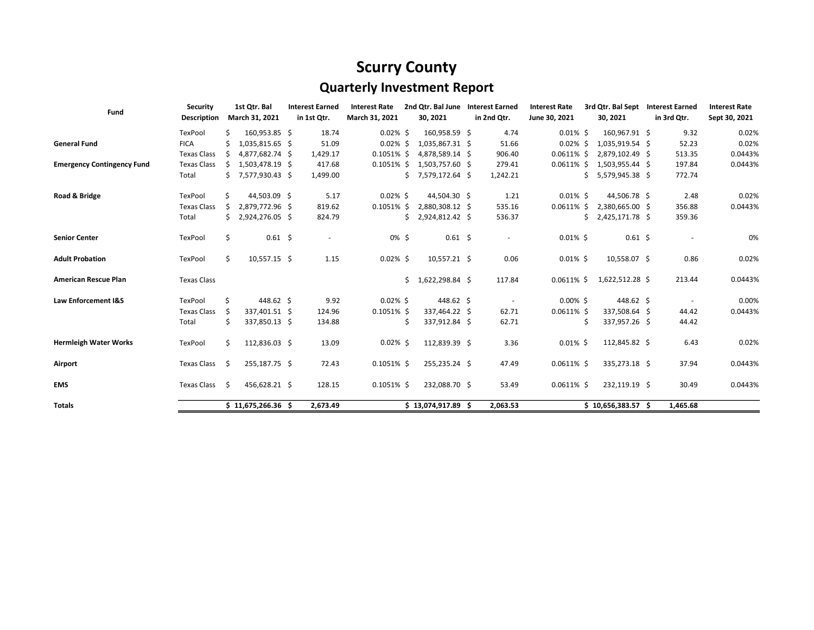## Scurry County

## Quarterly Investment Report

| Fund                              | <b>Security</b>    |      | 1st Qtr. Bal        | <b>Interest Earned</b> | <b>Interest Rate</b><br>2nd Otr. Bal June |               | <b>Interest Earned</b><br>3rd Qtr. Bal Sept<br><b>Interest Rate</b> |                                 | <b>Interest Earned</b>   | <b>Interest Rate</b> |    |                    |             |               |
|-----------------------------------|--------------------|------|---------------------|------------------------|-------------------------------------------|---------------|---------------------------------------------------------------------|---------------------------------|--------------------------|----------------------|----|--------------------|-------------|---------------|
|                                   | <b>Description</b> |      | March 31, 2021      | in 1st Qtr.            | March 31, 2021                            |               | 30, 2021                                                            |                                 | in 2nd Qtr.              | June 30, 2021        |    | 30, 2021           | in 3rd Qtr. | Sept 30, 2021 |
|                                   | TexPool            | Ś    | 160,953.85 \$       | 18.74                  | $0.02\%$ \$                               |               | 160,958.59 \$                                                       |                                 | 4.74                     | $0.01\%$ \$          |    | 160,967.91 \$      | 9.32        | 0.02%         |
| <b>General Fund</b>               | <b>FICA</b>        |      | 1,035,815.65 \$     | 51.09                  | $0.02\%$ \$                               |               | 1,035,867.31 \$                                                     |                                 | 51.66                    | $0.02\%$ \$          |    | 1,035,919.54 \$    | 52.23       | 0.02%         |
|                                   | <b>Texas Class</b> | S.   | 4,877,682.74 \$     | 1,429.17               |                                           | $0.1051\%$ \$ |                                                                     | 4,878,589.14 \$                 | 906.40                   | $0.0611\%$ \$        |    | 2,879,102.49 \$    | 513.35      | 0.0443%       |
| <b>Emergency Contingency Fund</b> | <b>Texas Class</b> | Ŝ.   | 1,503,478.19 \$     | 417.68                 | $0.1051\%$ \$                             |               | 1,503,757.60 \$                                                     |                                 | 279.41                   | $0.0611\%$ \$        |    | $1,503,955.44$ \$  | 197.84      | 0.0443%       |
|                                   | Total              | Ś.   | 7,577,930.43 \$     | 1,499.00               |                                           | Ś.            | 7,579,172.64 \$                                                     |                                 | 1,242.21                 |                      | S. | 5,579,945.38 \$    | 772.74      |               |
| Road & Bridge                     | TexPool            | \$   | 44,503.09 \$        | 5.17                   | $0.02\%$ \$                               |               | 44,504.30 \$                                                        |                                 | 1.21                     | $0.01\%$ \$          |    | 44,506.78 \$       | 2.48        | 0.02%         |
|                                   | <b>Texas Class</b> | Ś    | 2,879,772.96 \$     | 819.62                 | $0.1051\%$ \$                             |               | 2,880,308.12 \$                                                     |                                 | 535.16                   | $0.0611\%$ \$        |    | 2,380,665.00 \$    | 356.88      | 0.0443%       |
|                                   | Total              | Ś.   | 2,924,276.05 \$     | 824.79                 |                                           | Ś             | 2,924,812.42 \$                                                     |                                 | 536.37                   |                      | Ś. | 2,425,171.78 \$    | 359.36      |               |
| <b>Senior Center</b>              | TexPool            | \$   | $0.61 \quad $$      |                        | 0% \$                                     |               | $0.61 \quad $$                                                      |                                 | $\overline{\phantom{a}}$ | $0.01\%$ \$          |    | $0.61 \; \text{S}$ |             | 0%            |
| <b>Adult Probation</b>            | TexPool            | \$   | 10,557.15 \$        | 1.15                   | $0.02\%$ \$                               |               | 10,557.21 \$                                                        |                                 | 0.06                     | $0.01\%$ \$          |    | 10,558.07 \$       | 0.86        | 0.02%         |
| <b>American Rescue Plan</b>       | <b>Texas Class</b> |      |                     |                        |                                           | Ś.            | 1,622,298.84 \$                                                     |                                 | 117.84                   | $0.0611\%$ \$        |    | 1,622,512.28 \$    | 213.44      | 0.0443%       |
| Law Enforcement I&S               | TexPool            | \$   | 448.62 \$           | 9.92                   | $0.02\%$ \$                               |               | 448.62 \$                                                           |                                 |                          | $0.00\%$ \$          |    | 448.62 \$          |             | 0.00%         |
|                                   | <b>Texas Class</b> | -S   | 337,401.51 \$       | 124.96                 | $0.1051\%$ \$                             |               | 337,464.22 \$                                                       |                                 | 62.71                    | $0.0611\%$ \$        |    | 337,508.64 \$      | 44.42       | 0.0443%       |
|                                   | Total              | Ś.   | 337,850.13 \$       | 134.88                 |                                           | Ś             | 337,912.84 \$                                                       |                                 | 62.71                    |                      | Ś  | 337,957.26 \$      | 44.42       |               |
| <b>Hermleigh Water Works</b>      | TexPool            | Ś.   | 112,836.03 \$       | 13.09                  | $0.02\%$ \$                               |               | 112,839.39 \$                                                       |                                 | 3.36                     | $0.01\%$ \$          |    | 112,845.82 \$      | 6.43        | 0.02%         |
| Airport                           | Texas Class        | - \$ | 255,187.75 \$       | 72.43                  | $0.1051\%$ \$                             |               | 255,235.24 \$                                                       |                                 | 47.49                    | $0.0611\%$ \$        |    | 335,273.18 \$      | 37.94       | 0.0443%       |
| <b>EMS</b>                        | Texas Class \$     |      | 456,628.21 \$       | 128.15                 | $0.1051\%$ \$                             |               | 232,088.70 \$                                                       |                                 | 53.49                    | $0.0611\%$ \$        |    | 232,119.19 \$      | 30.49       | 0.0443%       |
| <b>Totals</b>                     |                    |      | $$11,675,266.36$ \$ | 2,673.49               | $$13,074,917.89$ \$                       |               |                                                                     | 2,063.53<br>$$10,656,383.57$ \$ |                          | 1,465.68             |    |                    |             |               |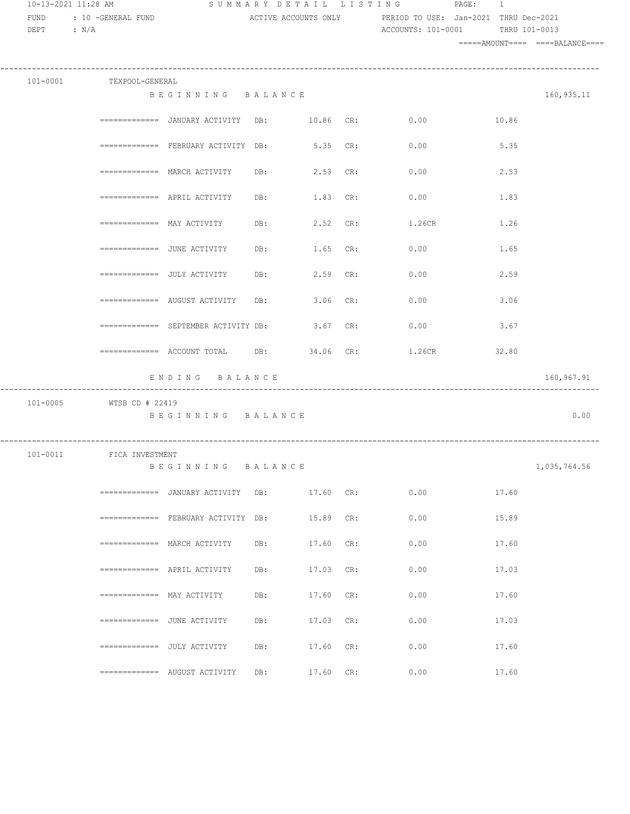| 10-13-2021 11:28 AM<br>FUND<br>DEPT : $N/A$ | : 10 -GENERAL FUND                            |                                                                 |              |           |     | SUMMARY DETAIL LISTING PAGE:<br>ACTIVE ACCOUNTS ONLY PERIOD TO USE: Jan-2021 THRU Dec-2021<br>ACCOUNTS: 101-0001 THRU 101-0013 | $\mathbf{1}$ |                                 |  |  |
|---------------------------------------------|-----------------------------------------------|-----------------------------------------------------------------|--------------|-----------|-----|--------------------------------------------------------------------------------------------------------------------------------|--------------|---------------------------------|--|--|
|                                             |                                               |                                                                 |              |           |     |                                                                                                                                |              | =====AMOUNT==== ====BALANCE==== |  |  |
|                                             | 101-0001 TEXPOOL-GENERAL                      |                                                                 |              |           |     |                                                                                                                                |              |                                 |  |  |
|                                             |                                               | BEGINNING BALANCE                                               |              |           |     |                                                                                                                                |              | 160,935.11                      |  |  |
|                                             |                                               |                                                                 |              |           |     | ============ JANUARY ACTIVITY DB: 10.86 CR: 0.00 10.86                                                                         |              |                                 |  |  |
|                                             |                                               | ============= FEBRUARY ACTIVITY DB: 5.35 CR: 0.00               |              |           |     |                                                                                                                                | 5.35         |                                 |  |  |
|                                             |                                               | $\texttt{-----}$ ============ MARCH ACTIVITY DB: 2.53 CR:       |              |           |     | 0.00                                                                                                                           | 2.53         |                                 |  |  |
|                                             |                                               | $\equiv$ ============= APRIL ACTIVITY                           | DB: 1.83 CR: |           |     | 0.00                                                                                                                           | 1.83         |                                 |  |  |
|                                             |                                               | ============= MAY ACTIVITY DB: 2.52 CR:                         |              |           |     | 1.26CR                                                                                                                         | 1.26         |                                 |  |  |
|                                             |                                               |                                                                 |              |           |     |                                                                                                                                | 1.65         |                                 |  |  |
|                                             |                                               |                                                                 |              |           |     |                                                                                                                                | 2.59         |                                 |  |  |
|                                             |                                               | ============= AUGUST ACTIVITY DB: 3.06 CR: 0.00                 |              |           |     |                                                                                                                                | 3.06         |                                 |  |  |
|                                             |                                               | $\texttt{-----}$ ============ SEPTEMBER ACTIVITY DB: $3.67$ CR: |              |           |     | 0.00                                                                                                                           | 3.67         |                                 |  |  |
|                                             |                                               | ============= ACCOUNT TOTAL DB: 34.06 CR: 1.26CR                |              |           |     |                                                                                                                                | 32.80        |                                 |  |  |
|                                             |                                               | ENDING BALANCE                                                  |              |           |     |                                                                                                                                |              | 160,967.91                      |  |  |
|                                             | 101-0005 WTSB CD # 22419<br>----------------- | BEGINNING BALANCE                                               |              |           |     |                                                                                                                                |              | 0.00                            |  |  |
|                                             | 101-0011 FICA INVESTMENT                      | BEGINNING                                                       | BALANCE      |           |     |                                                                                                                                |              | 1,035,764.56                    |  |  |
|                                             |                                               | ============ JANUARY ACTIVITY DB:                               |              | 17.60 CR: |     | 0.00                                                                                                                           | 17.60        |                                 |  |  |
|                                             |                                               | ============ FEBRUARY ACTIVITY DB:                              |              | 15.89 CR: |     | 0.00                                                                                                                           | 15.89        |                                 |  |  |
|                                             |                                               | $==========$ MARCH ACTIVITY                                     | DB:          | 17.60     | CR: | 0.00                                                                                                                           | 17.60        |                                 |  |  |
|                                             |                                               | $\equiv$ ============ APRIL ACTIVITY                            | DB:          | 17.03     | CR: | 0.00                                                                                                                           | 17.03        |                                 |  |  |
|                                             | $==========$ MAY ACTIVITY                     |                                                                 | DB:          | 17.60     | CR: | 0.00                                                                                                                           | 17.60        |                                 |  |  |
|                                             | $=========== =$ JUNE ACTIVITY                 |                                                                 | DB:          | 17.03     | CR: | 0.00                                                                                                                           | 17.03        |                                 |  |  |
|                                             | ============= JULY ACTIVITY                   |                                                                 | DB:          | 17.60     | CR: | 0.00                                                                                                                           | 17.60        |                                 |  |  |
|                                             |                                               | ============= AUGUST ACTIVITY                                   | DB:          | 17.60 CR: |     | 0.00                                                                                                                           | 17.60        |                                 |  |  |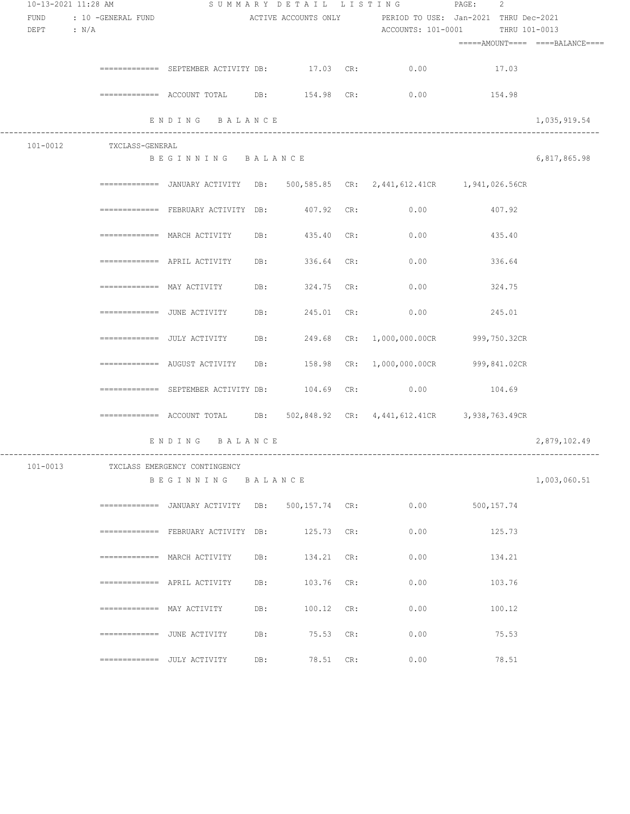| 10-13-2021 11:28 AM |  |                               |                                                                                 |     |                           | SUMMARY DETAIL LISTING PAGE: 2 |                                                            |                                  |              |
|---------------------|--|-------------------------------|---------------------------------------------------------------------------------|-----|---------------------------|--------------------------------|------------------------------------------------------------|----------------------------------|--------------|
| FUND<br>DEPT : N/A  |  | : 10 -GENERAL FUND            |                                                                                 |     |                           |                                | ACTIVE ACCOUNTS ONLY PERIOD TO USE: Jan-2021 THRU Dec-2021 | ACCOUNTS: 101-0001 THRU 101-0013 |              |
|                     |  |                               |                                                                                 |     |                           |                                |                                                            |                                  |              |
|                     |  |                               | ============ SEPTEMBER ACTIVITY DB: 17.03 CR: 0.00 17.03                        |     |                           |                                |                                                            |                                  |              |
|                     |  |                               | ============ ACCOUNT TOTAL DB: 154.98 CR: 0.00 154.98                           |     |                           |                                |                                                            |                                  |              |
|                     |  |                               | ENDING BALANCE<br>----------------------------                                  |     |                           |                                |                                                            |                                  | 1,035,919.54 |
|                     |  | 101-0012 TXCLASS-GENERAL      |                                                                                 |     |                           |                                |                                                            |                                  |              |
|                     |  |                               | BEGINNING BALANCE                                                               |     |                           |                                |                                                            |                                  | 6,817,865.98 |
|                     |  |                               | ============= JANUARY ACTIVITY DB: 500,585.85 CR: 2,441,612.41CR 1,941,026.56CR |     |                           |                                |                                                            |                                  |              |
|                     |  |                               | ============= FEBRUARY ACTIVITY DB:         407.92  CR:             0.00        |     |                           |                                |                                                            | 407.92                           |              |
|                     |  |                               | ============ MARCH ACTIVITY DB: 435.40 CR: 0.00 435.40                          |     |                           |                                |                                                            |                                  |              |
|                     |  |                               | ============ APRIL ACTIVITY DB: 336.64 CR: 0.00 336.64                          |     |                           |                                |                                                            |                                  |              |
|                     |  |                               | ============= MAY ACTIVITY DB: 324.75 CR: 0.00                                  |     |                           |                                |                                                            | 324.75                           |              |
|                     |  |                               |                                                                                 |     |                           |                                |                                                            | 245.01                           |              |
|                     |  |                               | ============ JULY ACTIVITY DB: 249.68 CR: 1,000,000.00CR 999,750.32CR           |     |                           |                                |                                                            |                                  |              |
|                     |  |                               | ============ AUGUST ACTIVITY DB: 158.98 CR: 1,000,000.00CR 999,841.02CR         |     |                           |                                |                                                            |                                  |              |
|                     |  |                               | ============ SEPTEMBER ACTIVITY DB: $104.69$ CR: $0.00$ $104.69$                |     |                           |                                |                                                            |                                  |              |
|                     |  |                               | ============ ACCOUNT TOTAL DB: 502,848.92 CR: 4,441,612.41CR 3,938,763.49CR     |     |                           |                                |                                                            |                                  |              |
|                     |  |                               | ENDING BALANCE                                                                  |     |                           |                                |                                                            |                                  | 2,879,102.49 |
| $101 - 0013$        |  |                               | TXCLASS EMERGENCY CONTINGENCY<br>BEGINNING BALANCE                              |     |                           |                                |                                                            |                                  | 1,003,060.51 |
|                     |  |                               | =============  JANUARY ACTIVITY                                                 | DB: | $500, 157.74 \text{ CR:}$ |                                | 0.00                                                       | 500,157.74                       |              |
|                     |  |                               | ============ FEBRUARY ACTIVITY DB:                                              |     | 125.73                    | CR:                            | 0.00                                                       | 125.73                           |              |
|                     |  |                               | $==========$ <b>MARCH ACTIVITY</b>                                              | DB: | 134.21                    | CR:                            | 0.00                                                       | 134.21                           |              |
|                     |  |                               | $\equiv$ ============ APRIL ACTIVITY                                            | DB: | 103.76                    | CR:                            | 0.00                                                       | 103.76                           |              |
|                     |  | $=$ ============ MAY ACTIVITY |                                                                                 | DB: | 100.12                    | CR:                            | 0.00                                                       | 100.12                           |              |
|                     |  | $=========== =$ JUNE ACTIVITY |                                                                                 | DB: | 75.53                     | CR:                            | 0.00                                                       | 75.53                            |              |
|                     |  | ============= JULY ACTIVITY   |                                                                                 | DB: | 78.51                     | CR:                            | 0.00                                                       | 78.51                            |              |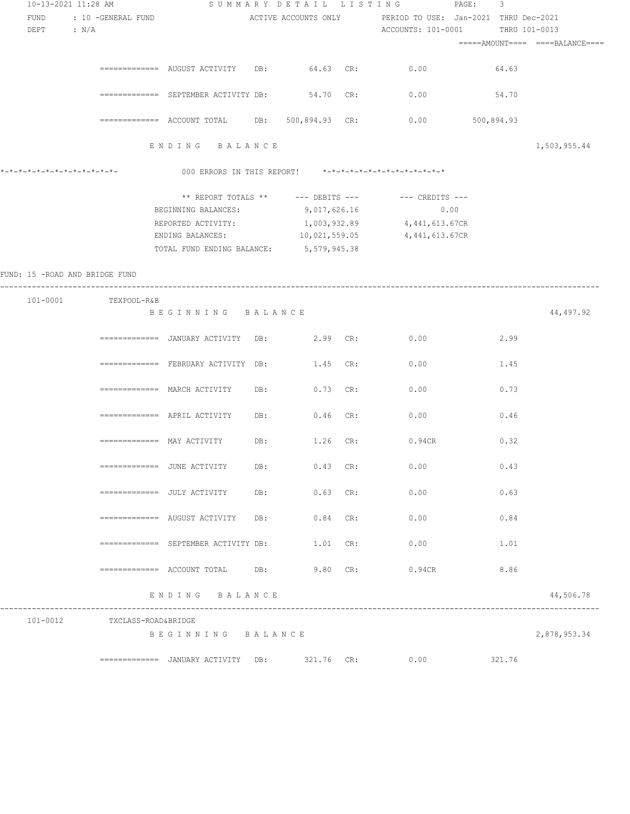| 10-13-2021 11:28 AM            |                              |                                                                                                                |          | SUMMARY DETAIL LISTING                                                                                                          | PAGE: 3    |              |
|--------------------------------|------------------------------|----------------------------------------------------------------------------------------------------------------|----------|---------------------------------------------------------------------------------------------------------------------------------|------------|--------------|
| FUND<br>DEPT : $N/A$           | : 10 -GENERAL FUND           |                                                                                                                |          | ACTIVE ACCOUNTS ONLY PERIOD TO USE: Jan-2021 THRU Dec-2021<br>ACCOUNTS: 101-0001 THRU 101-0013                                  |            |              |
|                                |                              |                                                                                                                |          |                                                                                                                                 |            |              |
|                                |                              | ============= AUGUST ACTIVITY DB: 64.63 CR: 0.00                                                               |          |                                                                                                                                 | 64.63      |              |
|                                |                              | ============ SEPTEMBER ACTIVITY DB:                                                                            |          | 54.70 CR: 0.00                                                                                                                  | 54.70      |              |
|                                |                              | ============= ACCOUNT TOTAL DB: 500,894.93 CR:                                                                 |          | 0.00                                                                                                                            | 500,894.93 |              |
|                                |                              | ENDING BALANCE                                                                                                 |          |                                                                                                                                 |            | 1,503,955.44 |
| *_*_*_*_*_*_*_*_*_*_*_*_*_*_*_ |                              |                                                                                                                |          | 000 ERRORS IN THIS REPORT! *-*-*-*-*-*-*-*-*-*-*-*-*-*-                                                                         |            |              |
|                                |                              | BEGINNING BALANCES: 9,017,626.16<br>REPORTED ACTIVITY: 1,003,932.89<br>TOTAL FUND ENDING BALANCE: 5,579,945.38 |          | ** REPORT TOTALS ** --- DEBITS --- -- -- CREDITS ---<br>0.00<br>4,441,613.67CR<br>ENDING BALANCES: 10,021,559.05 4,441,613.67CR |            |              |
| FUND: 15 -ROAD AND BRIDGE FUND |                              |                                                                                                                |          |                                                                                                                                 |            |              |
|                                | 101-0001 TEXPOOL-R&B         | BEGINNING BALANCE                                                                                              |          |                                                                                                                                 |            | 44,497.92    |
|                                |                              |                                                                                                                |          | 0.00                                                                                                                            | 2.99       |              |
|                                |                              | ============= FEBRUARY ACTIVITY DB: 1.45 CR:                                                                   |          | 0.00                                                                                                                            | 1.45       |              |
|                                |                              | ============= MARCH ACTIVITY DB: 0.73 CR:                                                                      |          | 0.00                                                                                                                            | 0.73       |              |
|                                |                              | $\texttt{-----}$ =========== APRIL ACTIVITY DB: 0.46 CR:                                                       |          | 0.00                                                                                                                            | 0.46       |              |
|                                |                              | $=$ ============ $MAX$ $ACTIVITY$ DB:                                                                          | 1.26 CR: | 0.94CR                                                                                                                          | 0.32       |              |
|                                |                              |                                                                                                                |          | 0.00                                                                                                                            | 0.43       |              |
|                                |                              |                                                                                                                |          | ------------- JULY ACTIVITY DB: 0.63 CR: 0.00                                                                                   | 0.63       |              |
|                                |                              |                                                                                                                |          | ============= AUGUST ACTIVITY DB: 0.84 CR: 0.00                                                                                 | 0.84       |              |
|                                |                              |                                                                                                                |          | ============ SEPTEMBER ACTIVITY DB: $1.01$ CR: $0.00$                                                                           | 1.01       |              |
|                                |                              |                                                                                                                |          | ============ ACCOUNT TOTAL DB: 9.80 CR: 0.94CR 8.86                                                                             |            |              |
|                                |                              | ENDING BALANCE                                                                                                 |          |                                                                                                                                 |            | 44,506.78    |
|                                | 101-0012 TXCLASS-ROAD&BRIDGE | BEGINNING BALANCE                                                                                              |          |                                                                                                                                 |            | 2,878,953.34 |
|                                |                              | ============= JANUARY ACTIVITY DB: 321.76 CR: 0.00                                                             |          |                                                                                                                                 | 321.76     |              |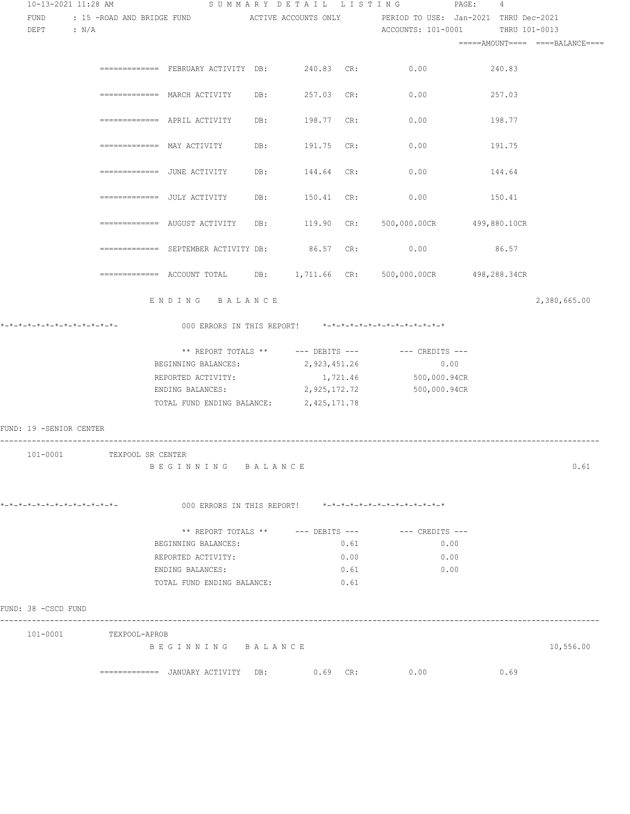| 10-13-2021 11:28 AM            |                            |                                                 |     | SUMMARY DETAIL LISTING |      | $\texttt{PAGE}$ :                                                                         | 4      |                                 |
|--------------------------------|----------------------------|-------------------------------------------------|-----|------------------------|------|-------------------------------------------------------------------------------------------|--------|---------------------------------|
| FUND                           |                            |                                                 |     |                        |      | : 15 -ROAD AND BRIDGE FUND . ACTIVE ACCOUNTS ONLY . PERIOD TO USE: Jan-2021 THRU Dec-2021 |        |                                 |
| $DEF$ : $N/A$                  |                            |                                                 |     |                        |      | ACCOUNTS: 101-0001 THRU 101-0013                                                          |        |                                 |
|                                |                            |                                                 |     |                        |      |                                                                                           |        | =====AMOUNT==== ====BALANCE==== |
|                                |                            |                                                 |     |                        |      |                                                                                           |        |                                 |
|                                |                            |                                                 |     |                        |      | ============= FEBRUARY ACTIVITY DB: 240.83 CR: 0.00 240.83                                |        |                                 |
|                                |                            |                                                 |     |                        |      |                                                                                           |        |                                 |
|                                |                            | ============ MARCH ACTIVITY DB: 257.03 CR: 0.00 |     |                        |      |                                                                                           | 257.03 |                                 |
|                                |                            |                                                 |     |                        |      |                                                                                           |        |                                 |
|                                |                            | ============ APRIL ACTIVITY DB: 198.77 CR: 0.00 |     |                        |      |                                                                                           | 198.77 |                                 |
|                                |                            |                                                 |     |                        |      |                                                                                           |        |                                 |
|                                |                            | ============= MAY ACTIVITY                      |     | DB: 191.75 CR:         |      | 0.00                                                                                      | 191.75 |                                 |
|                                |                            |                                                 |     |                        |      |                                                                                           |        |                                 |
|                                |                            | =============  JUNE ACTIVITY                    | DB: | 144.64 CR:             |      | 0.00                                                                                      | 144.64 |                                 |
|                                |                            |                                                 |     |                        |      |                                                                                           |        |                                 |
|                                |                            | =============  JULY ACTIVITY                    | DB: | 150.41 CR:             |      | 0.00                                                                                      | 150.41 |                                 |
|                                |                            |                                                 |     |                        |      |                                                                                           |        |                                 |
|                                |                            |                                                 |     |                        |      | ============ AUGUST ACTIVITY DB: 119.90 CR: 500,000.00CR 499,880.10CR                     |        |                                 |
|                                |                            |                                                 |     |                        |      |                                                                                           |        |                                 |
|                                |                            | ============= SEPTEMBER ACTIVITY DB: 86.57 CR:  |     |                        |      | 0.00                                                                                      | 86.57  |                                 |
|                                |                            |                                                 |     |                        |      |                                                                                           |        |                                 |
|                                |                            |                                                 |     |                        |      | ============ ACCOUNT TOTAL DB: 1,711.66 CR: 500,000.00CR 498,288.34CR                     |        |                                 |
|                                |                            |                                                 |     |                        |      |                                                                                           |        |                                 |
|                                |                            | ENDING BALANCE                                  |     |                        |      |                                                                                           |        |                                 |
|                                |                            |                                                 |     |                        |      |                                                                                           |        | 2,380,665.00                    |
| *_*_*_*_*_*_*_*_*_*_*_*_*_*_*_ |                            |                                                 |     |                        |      | 000 ERRORS IN THIS REPORT! *-*-*-*-*-*-*-*-*-*-*-*-*-*-                                   |        |                                 |
|                                |                            |                                                 |     |                        |      |                                                                                           |        |                                 |
|                                |                            |                                                 |     |                        |      | ** REPORT TOTALS ** --- DEBITS --- -- CREDITS ---                                         |        |                                 |
|                                |                            | BEGINNING BALANCES:                             |     | 2,923,451.26           |      | 0.00                                                                                      |        |                                 |
|                                |                            | REPORTED ACTIVITY:                              |     |                        |      | 1,721.46 500,000.94CR                                                                     |        |                                 |
|                                |                            | ENDING BALANCES:                                |     | 2,925,172.72           |      | 500,000.94CR                                                                              |        |                                 |
|                                |                            | TOTAL FUND ENDING BALANCE: 2,425,171.78         |     |                        |      |                                                                                           |        |                                 |
|                                |                            |                                                 |     |                        |      |                                                                                           |        |                                 |
| FUND: 19 -SENIOR CENTER        |                            |                                                 |     |                        |      |                                                                                           |        |                                 |
|                                |                            |                                                 |     |                        |      |                                                                                           |        |                                 |
|                                | 101-0001 TEXPOOL SR CENTER |                                                 |     |                        |      |                                                                                           |        |                                 |
|                                |                            | BEGINNING BALANCE                               |     |                        |      |                                                                                           |        | 0.61                            |
|                                |                            |                                                 |     |                        |      |                                                                                           |        |                                 |
|                                |                            |                                                 |     |                        |      |                                                                                           |        |                                 |
| *-*-*-*-*-*-*-*-*-*-*-*-*-*-   |                            |                                                 |     |                        |      | 000 ERRORS IN THIS REPORT! *-*-*-*-*-*-*-*-*-*-*-*-*-*-                                   |        |                                 |
|                                |                            |                                                 |     |                        |      |                                                                                           |        |                                 |
|                                |                            |                                                 |     |                        |      |                                                                                           |        |                                 |
|                                |                            | BEGINNING BALANCES:                             |     |                        | 0.61 | 0.00                                                                                      |        |                                 |
|                                |                            | REPORTED ACTIVITY:                              |     |                        | 0.00 | 0.00                                                                                      |        |                                 |
|                                |                            | ENDING BALANCES:                                |     |                        | 0.61 | 0.00                                                                                      |        |                                 |
|                                |                            | TOTAL FUND ENDING BALANCE:                      |     |                        | 0.61 |                                                                                           |        |                                 |
|                                |                            |                                                 |     |                        |      |                                                                                           |        |                                 |
| FUND: 38 -CSCD FUND            |                            |                                                 |     |                        |      |                                                                                           |        |                                 |
|                                |                            |                                                 |     |                        |      |                                                                                           |        |                                 |
|                                | 101-0001 TEXPOOL-APROB     |                                                 |     |                        |      |                                                                                           |        |                                 |
|                                |                            | BEGINNING BALANCE                               |     |                        |      |                                                                                           |        | 10,556.00                       |
|                                |                            |                                                 |     |                        |      |                                                                                           |        |                                 |
|                                |                            |                                                 |     |                        |      | 0.00                                                                                      | 0.69   |                                 |
|                                |                            |                                                 |     |                        |      |                                                                                           |        |                                 |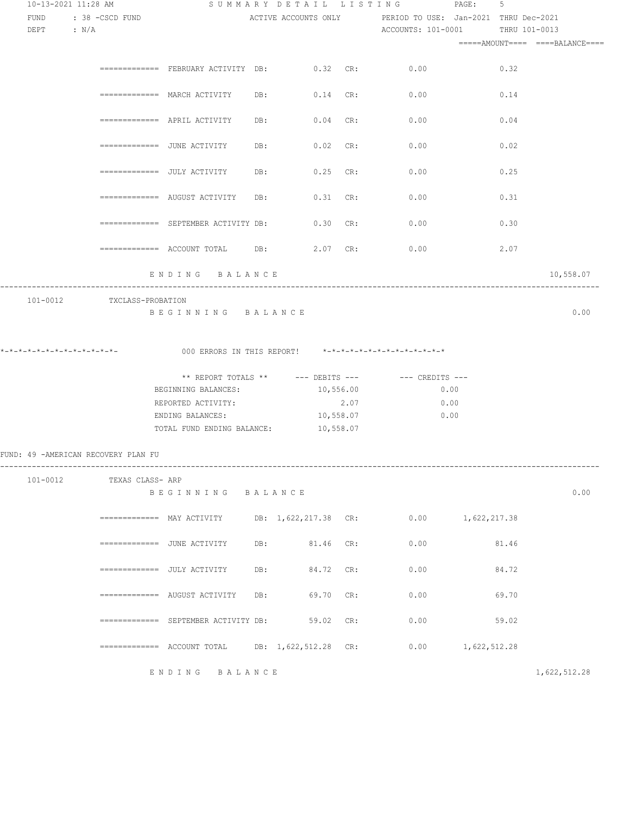| FUND : 38 - CSCD FUND               |                           |                                                            |                     |      | SUMMARY DETAIL LISTING PAGE:                                                                   | 5     |                                 |
|-------------------------------------|---------------------------|------------------------------------------------------------|---------------------|------|------------------------------------------------------------------------------------------------|-------|---------------------------------|
| $DEPT$ : $N/A$                      |                           |                                                            |                     |      | ACTIVE ACCOUNTS ONLY TERIOD TO USE: Jan-2021 THRU Dec-2021<br>ACCOUNTS: 101-0001 THRU 101-0013 |       | =====AMOUNT==== ====BALANCE==== |
|                                     |                           |                                                            |                     |      |                                                                                                |       |                                 |
|                                     |                           | ============ FEBRUARY ACTIVITY DB: 0.32 CR: 0.00           |                     |      |                                                                                                | 0.32  |                                 |
|                                     |                           | ============= MARCH ACTIVITY DB: 0.14 CR: 0.00             |                     |      |                                                                                                | 0.14  |                                 |
|                                     |                           | ============== APRIL ACTIVITY DB: 0.04 CR: 0.00            |                     |      |                                                                                                | 0.04  |                                 |
|                                     |                           |                                                            |                     |      |                                                                                                | 0.02  |                                 |
|                                     |                           | =============   JULY ACTIVITY                              | DB: 0.25 CR:        |      | 0.00                                                                                           | 0.25  |                                 |
|                                     |                           | $\overline{\phantom{z}}$ ============= AUGUST ACTIVITY DB: | $0.31$ CR:          |      | 0.00                                                                                           | 0.31  |                                 |
|                                     |                           | ============= SEPTEMBER ACTIVITY DB:                       | $0.30 \text{ CR}$ : |      | 0.00                                                                                           | 0.30  |                                 |
|                                     |                           |                                                            |                     |      | 0.00                                                                                           | 2.07  |                                 |
|                                     |                           | ENDING BALANCE                                             |                     |      |                                                                                                |       | 10,558.07                       |
|                                     |                           |                                                            |                     |      |                                                                                                |       |                                 |
| *_*_*_*_*_*_*_*_*_*_*_*_*_*_*_      |                           | 000 ERRORS IN THIS REPORT! *-*-*-*-*-*-*-*-*-*-*-*-*-*-    |                     |      |                                                                                                |       |                                 |
|                                     |                           |                                                            |                     |      |                                                                                                |       |                                 |
|                                     |                           |                                                            |                     |      | ** REPORT TOTALS ** --- DEBITS --- -- CREDITS ---                                              |       |                                 |
|                                     |                           | BEGINNING BALANCES:                                        | 10,556.00           |      | 0.00                                                                                           |       |                                 |
|                                     |                           | REPORTED ACTIVITY:                                         |                     | 2.07 | 0.00                                                                                           |       |                                 |
|                                     |                           | ENDING BALANCES:<br>TOTAL FUND ENDING BALANCE: 10,558.07   | 10,558.07           |      | 0.00                                                                                           |       |                                 |
|                                     |                           |                                                            |                     |      |                                                                                                |       |                                 |
|                                     | 101-0012 TEXAS CLASS- ARP |                                                            |                     |      |                                                                                                |       |                                 |
| FUND: 49 -AMERICAN RECOVERY PLAN FU |                           | BEGINNING BALANCE                                          |                     |      |                                                                                                |       | 0.00                            |
|                                     |                           |                                                            |                     |      | ============ MAY ACTIVITY DB: 1,622,217.38 CR: 0.00 1,622,217.38                               |       |                                 |
|                                     |                           | ============= JUNE ACTIVITY DB: 81.46 CR: 0.00             |                     |      |                                                                                                | 81.46 |                                 |
|                                     |                           | ============= JULY ACTIVITY DB: 84.72 CR: 0.00             |                     |      |                                                                                                | 84.72 |                                 |
|                                     |                           | ============ AUGUST ACTIVITY DB: 69.70 CR: 0.00            |                     |      |                                                                                                | 69.70 |                                 |
|                                     |                           | ============= SEPTEMBER ACTIVITY DB: 59.02 CR: 0.00        |                     |      |                                                                                                | 59.02 |                                 |
|                                     |                           |                                                            |                     |      | ============ ACCOUNT TOTAL DB: 1,622,512.28 CR: 0.00 1,622,512.28                              |       |                                 |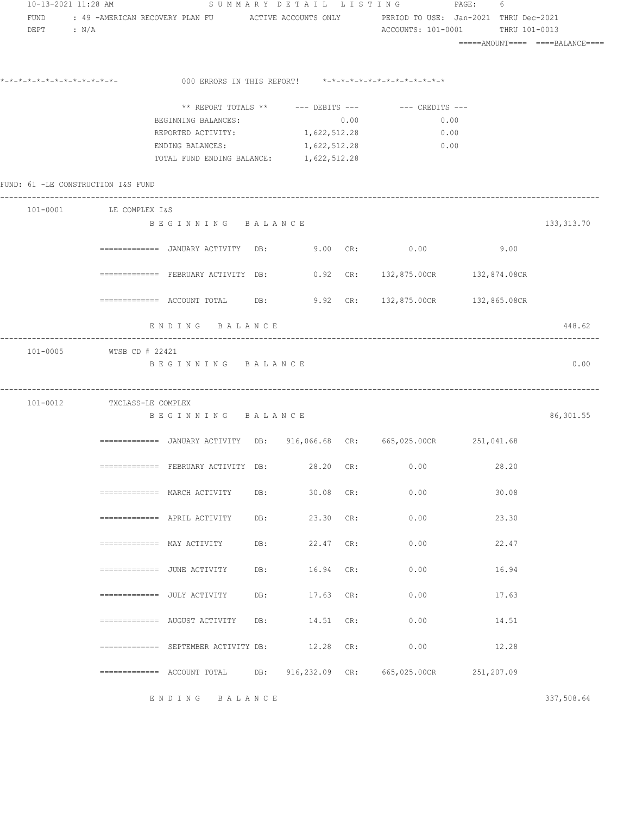|                        | 10-13-2021 11:28 AM                |                                                                                  |     |           |      | SUMMARY DETAIL LISTING PAGE:                            | 6     |             |
|------------------------|------------------------------------|----------------------------------------------------------------------------------|-----|-----------|------|---------------------------------------------------------|-------|-------------|
| FUND<br>$DEPT$ : $N/A$ |                                    |                                                                                  |     |           |      | ACCOUNTS: 101-0001 THRU 101-0013                        |       |             |
|                        |                                    |                                                                                  |     |           |      |                                                         |       |             |
|                        | *_*_*_*_*_*_*_*_*_*_*_*_*_*_*_     |                                                                                  |     |           |      | 000 ERRORS IN THIS REPORT! *-*-*-*-*-*-*-*-*-*-*-*-*-*- |       |             |
|                        |                                    |                                                                                  |     |           |      | ** REPORT TOTALS ** --- DEBITS --- -- CREDITS ---       |       |             |
|                        |                                    | BEGINNING BALANCES:                                                              |     |           | 0.00 | 0.00                                                    |       |             |
|                        |                                    | REPORTED ACTIVITY: 1, 622, 512.28                                                |     |           |      | 0.00                                                    |       |             |
|                        |                                    | ENDING BALANCES: 1, 622, 512.28<br>TOTAL FUND ENDING BALANCE: 1, 622, 512.28     |     |           |      | 0.00                                                    |       |             |
|                        | FUND: 61 -LE CONSTRUCTION I&S FUND |                                                                                  |     |           |      |                                                         |       |             |
|                        | 101-0001 LE COMPLEX I&S            |                                                                                  |     |           |      |                                                         |       |             |
|                        |                                    | BEGINNING BALANCE                                                                |     |           |      |                                                         |       | 133, 313.70 |
|                        |                                    | ============= JANUARY ACTIVITY DB:                                               |     |           |      | 9.00 CR: $0.00$                                         | 9.00  |             |
|                        |                                    | ============= FEBRUARY ACTIVITY DB: 0.92 CR: 132,875.00CR 132,874.08CR           |     |           |      |                                                         |       |             |
|                        |                                    | $\overline{2}$ ============ ACCOUNT TOTAL DB: 9.92 CR: 132,875.00CR 132,865.08CR |     |           |      |                                                         |       |             |
|                        |                                    | ENDING BALANCE                                                                   |     |           |      |                                                         |       | 448.62      |
|                        | 101-0005 WTSB CD # 22421           | BEGINNING BALANCE                                                                |     |           |      |                                                         |       | 0.00        |
|                        | 101-0012 TXCLASS-LE COMPLEX        | BEGINNING BALANCE                                                                |     |           |      |                                                         |       | 86,301.55   |
|                        |                                    | ============= JANUARY ACTIVITY DB: 916,066.68 CR: 665,025.00CR 251,041.68        |     |           |      |                                                         |       |             |
|                        |                                    | ============= FEBRUARY ACTIVITY DB:                                              |     | 28.20     | CR:  | 0.00                                                    | 28.20 |             |
|                        |                                    | $\equiv$ ============= MARCH ACTIVITY                                            | DB: | 30.08 CR: |      | 0.00                                                    | 30.08 |             |
|                        |                                    | $\equiv$ ============ APRIL ACTIVITY                                             | DB: | 23.30 CR: |      | 0.00                                                    | 23.30 |             |
|                        |                                    | $\equiv$ ============= MAY ACTIVITY                                              | DB: | 22.47 CR: |      | 0.00                                                    | 22.47 |             |
|                        |                                    | $\equiv$ ============= JUNE ACTIVITY                                             | DB: | 16.94     | CR:  | 0.00                                                    | 16.94 |             |
|                        |                                    | ============= JULY ACTIVITY                                                      | DB: | 17.63     | CR:  | 0.00                                                    | 17.63 |             |
|                        |                                    | $\equiv$ ============= AUGUST ACTIVITY                                           | DB: | 14.51     | CR:  | 0.00                                                    | 14.51 |             |
|                        |                                    | ============ SEPTEMBER ACTIVITY DB:                                              |     | 12.28     | CR:  | 0.00                                                    | 12.28 |             |
|                        |                                    |                                                                                  | DB: |           |      | 916,232.09 CR: 665,025.00CR 251,207.09                  |       |             |
|                        |                                    | ENDING BALANCE                                                                   |     |           |      |                                                         |       | 337,508.64  |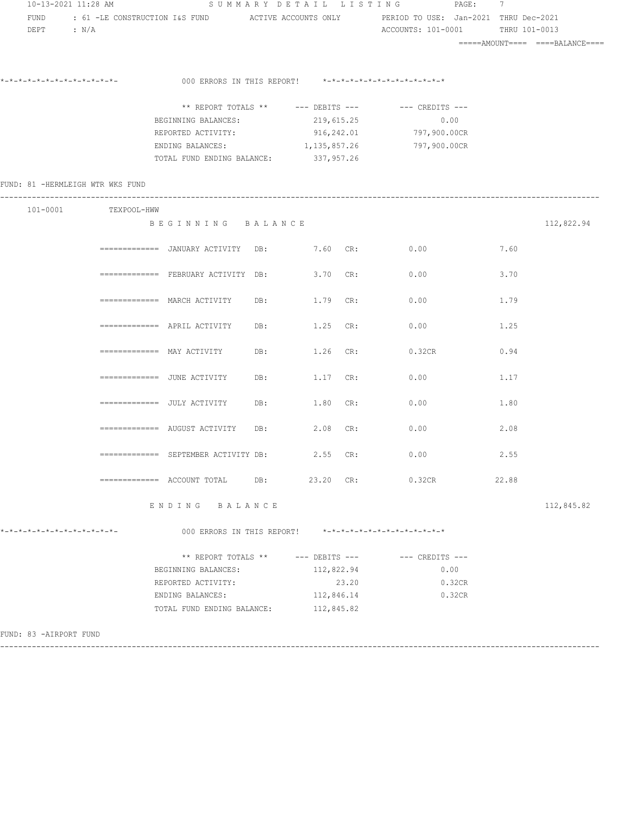|                              | 10-13-2021 11:28 AM              |                                              |                                                         | SUMMARY DETAIL LISTING PAGE: 7                                                            |       |                                 |
|------------------------------|----------------------------------|----------------------------------------------|---------------------------------------------------------|-------------------------------------------------------------------------------------------|-------|---------------------------------|
| FUND                         |                                  |                                              |                                                         | : 61 -LE CONSTRUCTION I&S FUND ACTIVE ACCOUNTS ONLY PERIOD TO USE: Jan-2021 THRU Dec-2021 |       |                                 |
| DEPT : $N/A$                 |                                  |                                              |                                                         | ACCOUNTS: 101-0001                                                                        |       | THRU 101-0013                   |
|                              |                                  |                                              |                                                         |                                                                                           |       | =====AMOUNT==== ====BALANCE==== |
|                              |                                  |                                              |                                                         |                                                                                           |       |                                 |
|                              | *_*_*_*_*_*_*_*_*_*_*_*_*_*_     |                                              | 000 ERRORS IN THIS REPORT! *-*-*-*-*-*-*-*-*-*-*-*-*-*- |                                                                                           |       |                                 |
|                              |                                  |                                              |                                                         |                                                                                           |       |                                 |
|                              |                                  |                                              |                                                         | ** REPORT TOTALS ** --- DEBITS --- -- CREDITS ---                                         |       |                                 |
|                              |                                  | BEGINNING BALANCES:                          | 219,615.25                                              | 0.00                                                                                      |       |                                 |
|                              |                                  | REPORTED ACTIVITY:                           | 916,242.01                                              | 797,900.00CR                                                                              |       |                                 |
|                              |                                  |                                              | ENDING BALANCES: 1, 135, 857.26                         | 797,900.00CR                                                                              |       |                                 |
|                              |                                  | TOTAL FUND ENDING BALANCE: 337,957.26        |                                                         |                                                                                           |       |                                 |
|                              | FUND: 81 -HERMLEIGH WTR WKS FUND |                                              |                                                         |                                                                                           |       |                                 |
|                              |                                  |                                              |                                                         |                                                                                           |       |                                 |
|                              | 101-0001 TEXPOOL-HWW             |                                              |                                                         |                                                                                           |       |                                 |
|                              |                                  | BEGINNING BALANCE                            |                                                         |                                                                                           |       | 112,822.94                      |
|                              |                                  |                                              |                                                         |                                                                                           |       |                                 |
|                              |                                  |                                              | ============ JANUARY ACTIVITY DB: 7.60 CR:              | 0.00                                                                                      | 7.60  |                                 |
|                              |                                  |                                              | ============ FEBRUARY ACTIVITY DB: 3.70 CR: 0.00        |                                                                                           | 3.70  |                                 |
|                              |                                  |                                              |                                                         |                                                                                           |       |                                 |
|                              |                                  |                                              | ============= MARCH ACTIVITY DB: 1.79 CR:               | 0.00                                                                                      | 1.79  |                                 |
|                              |                                  |                                              |                                                         |                                                                                           |       |                                 |
|                              |                                  |                                              | DB: 1.25 CR:                                            | 0.00                                                                                      | 1.25  |                                 |
|                              |                                  |                                              |                                                         |                                                                                           |       |                                 |
|                              |                                  |                                              | DB: 1.26 CR:                                            | 0.32CR                                                                                    | 0.94  |                                 |
|                              |                                  | =============   JUNE  ACTIVITY               | DB: 1.17 CR:                                            | 0.00                                                                                      | 1.17  |                                 |
|                              |                                  |                                              |                                                         |                                                                                           |       |                                 |
|                              |                                  | =============   JULY ACTIVITY                | DB: 1.80 CR:                                            | 0.00                                                                                      | 1.80  |                                 |
|                              |                                  |                                              |                                                         |                                                                                           |       |                                 |
|                              |                                  |                                              | ============= AUGUST ACTIVITY DB: 2.08 CR:              | 0.00                                                                                      | 2.08  |                                 |
|                              |                                  |                                              |                                                         |                                                                                           |       |                                 |
|                              |                                  | $\equiv$ ============ SEPTEMBER ACTIVITY DB: | $2.55$ CR:                                              | 0.00                                                                                      | 2.55  |                                 |
|                              |                                  |                                              |                                                         | DB: 23.20 CR: 0.32CR                                                                      | 22.88 |                                 |
|                              |                                  |                                              |                                                         |                                                                                           |       |                                 |
|                              |                                  | ENDING BALANCE                               |                                                         |                                                                                           |       | 112,845.82                      |
|                              |                                  |                                              |                                                         |                                                                                           |       |                                 |
| *-*-*-*-*-*-*-*-*-*-*-*-*-*- |                                  | 000 ERRORS IN THIS REPORT!                   |                                                         | *-*-*-*-*-*-*-*-*-*-*-*-*-*-*                                                             |       |                                 |
|                              |                                  | ** REPORT TOTALS **                          | --- DEBITS ---                                          | $---$ CREDITS $---$                                                                       |       |                                 |
|                              |                                  | BEGINNING BALANCES:                          | 112,822.94                                              | 0.00                                                                                      |       |                                 |
|                              |                                  | REPORTED ACTIVITY:                           | 23.20                                                   | 0.32CR                                                                                    |       |                                 |
|                              |                                  | ENDING BALANCES:                             | 112,846.14                                              | 0.32CR                                                                                    |       |                                 |
|                              |                                  | TOTAL FUND ENDING BALANCE: 112,845.82        |                                                         |                                                                                           |       |                                 |
|                              |                                  |                                              |                                                         |                                                                                           |       |                                 |
| FUND: 83 -AIRPORT FUND       |                                  |                                              |                                                         |                                                                                           |       |                                 |

------------------------------------------------------------------------------------------------------------------------------------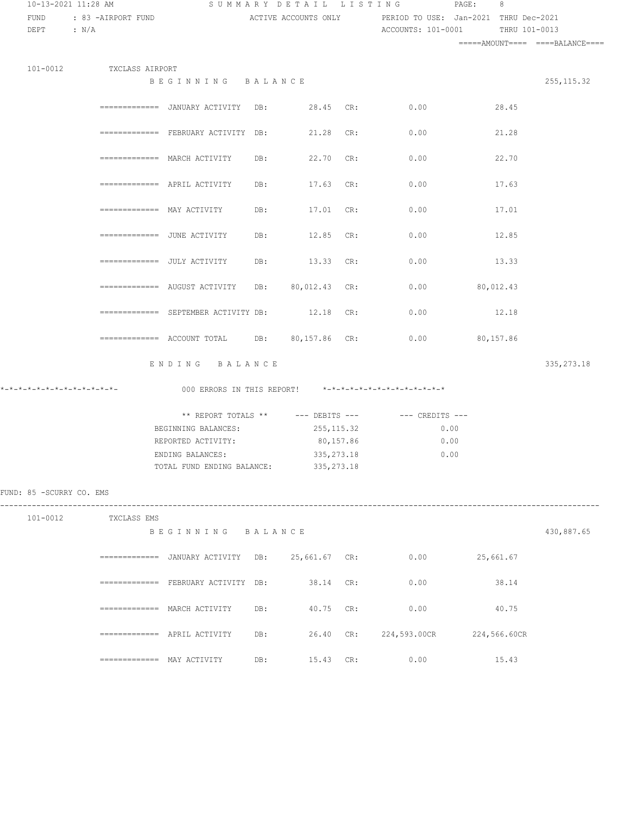| 10-13-2021 11:28 AM            |                          |                                                                                        |     |               | SUMMARY DETAIL LISTING                                                                          | $\texttt{PAGE}$ :<br>8 |             |  |  |
|--------------------------------|--------------------------|----------------------------------------------------------------------------------------|-----|---------------|-------------------------------------------------------------------------------------------------|------------------------|-------------|--|--|
| FUND                           | : 83 -AIRPORT FUND       |                                                                                        |     |               | ACTIVE ACCOUNTS ONLY PERIOD TO USE: Jan-2021 THRU Dec-2021                                      |                        |             |  |  |
| DEPT : N/A                     |                          |                                                                                        |     |               | ACCOUNTS: 101-0001 THRU 101-0013                                                                |                        |             |  |  |
|                                |                          |                                                                                        |     |               |                                                                                                 |                        |             |  |  |
|                                |                          |                                                                                        |     |               |                                                                                                 |                        |             |  |  |
|                                | 101-0012 TXCLASS AIRPORT |                                                                                        |     |               |                                                                                                 |                        |             |  |  |
|                                |                          | BEGINNING BALANCE                                                                      |     |               |                                                                                                 |                        | 255, 115.32 |  |  |
|                                |                          |                                                                                        |     |               |                                                                                                 |                        |             |  |  |
|                                |                          |                                                                                        |     |               | =============   JANUARY  ACTIVITY      DB:                 28.45     CR:                   0.00 | 28.45                  |             |  |  |
|                                |                          | ============ FEBRUARY ACTIVITY DB:                                                     |     | 21.28 CR:     | 0.00                                                                                            | 21.28                  |             |  |  |
|                                |                          |                                                                                        |     |               |                                                                                                 |                        |             |  |  |
|                                |                          | $===========  \text{MARCH}$ ACTIVITY                                                   | DB: | 22.70 CR:     | 0.00                                                                                            | 22.70                  |             |  |  |
|                                |                          |                                                                                        |     |               |                                                                                                 |                        |             |  |  |
|                                |                          | $=$ ============= APRIL ACTIVITY                                                       | DB: | 17.63 CR:     | 0.00                                                                                            | 17.63                  |             |  |  |
|                                |                          |                                                                                        |     |               |                                                                                                 |                        |             |  |  |
|                                |                          | ============= MAY ACTIVITY                                                             | DB: | 17.01 CR:     | 0.00                                                                                            | 17.01                  |             |  |  |
|                                |                          |                                                                                        |     |               |                                                                                                 |                        |             |  |  |
|                                |                          | =============   JUNE  ACTIVITY                                                         | DB: | 12.85 CR:     | 0.00                                                                                            | 12.85                  |             |  |  |
|                                |                          | ============= JULY ACTIVITY                                                            | DB: | 13.33 CR:     | 0.00                                                                                            | 13.33                  |             |  |  |
|                                |                          |                                                                                        |     |               |                                                                                                 |                        |             |  |  |
|                                |                          | ============= AUGUST ACTIVITY                                                          | DB: | 80,012.43 CR: | 0.00                                                                                            | 80,012.43              |             |  |  |
|                                |                          |                                                                                        |     |               |                                                                                                 |                        |             |  |  |
|                                |                          | ============ SEPTEMBER ACTIVITY DB:                                                    |     | 12.18 CR:     | 0.00                                                                                            | 12.18                  |             |  |  |
|                                |                          |                                                                                        |     |               |                                                                                                 |                        |             |  |  |
|                                |                          | $\text{---}\text{---}\text{---}\text{---}\text{---}$ ACCOUNT TOTAL DB: $80,157.86$ CR: |     |               | $0.00$ 80,157.86                                                                                |                        |             |  |  |
|                                |                          |                                                                                        |     |               |                                                                                                 |                        |             |  |  |
|                                |                          | ENDING BALANCE                                                                         |     |               |                                                                                                 |                        | 335, 273.18 |  |  |
|                                |                          |                                                                                        |     |               |                                                                                                 |                        |             |  |  |
| *_*_*_*_*_*_*_*_*_*_*_*_*_*_*_ |                          |                                                                                        |     |               | 000 ERRORS IN THIS REPORT! *-*-*-*-*-*-*-*-*-*-*-*-*-*-                                         |                        |             |  |  |
|                                |                          |                                                                                        |     |               | ** REPORT TOTALS ** --- DEBITS --- -- CREDITS ---                                               |                        |             |  |  |
|                                |                          | BEGINNING BALANCES:                                                                    |     | 255, 115.32   | 0.00                                                                                            |                        |             |  |  |
|                                |                          | REPORTED ACTIVITY:                                                                     |     | 80,157.86     | 0.00                                                                                            |                        |             |  |  |
|                                |                          | ENDING BALANCES:                                                                       |     | 335, 273. 18  | 0.00                                                                                            |                        |             |  |  |
|                                |                          | TOTAL FUND ENDING BALANCE: 335, 273.18                                                 |     |               |                                                                                                 |                        |             |  |  |
|                                |                          |                                                                                        |     |               |                                                                                                 |                        |             |  |  |
| FUND: 85 - SCURRY CO. EMS      |                          |                                                                                        |     |               |                                                                                                 |                        |             |  |  |
|                                |                          |                                                                                        |     |               |                                                                                                 |                        |             |  |  |
|                                | 101-0012 TXCLASS EMS     |                                                                                        |     |               |                                                                                                 |                        |             |  |  |
|                                |                          | BEGINNING BALANCE                                                                      |     |               |                                                                                                 |                        | 430,887.65  |  |  |
|                                |                          |                                                                                        |     |               |                                                                                                 |                        |             |  |  |
|                                |                          |                                                                                        |     |               | ============= JANUARY ACTIVITY DB: 25,661.67 CR: 0.00 25,661.67                                 |                        |             |  |  |
|                                |                          | ============= FEBRUARY ACTIVITY DB: 38.14 CR:                                          |     |               | 0.00                                                                                            | 38.14                  |             |  |  |
|                                |                          |                                                                                        |     |               |                                                                                                 |                        |             |  |  |
|                                |                          | ============= MARCH ACTIVITY                                                           | DB: | 40.75 CR:     | 0.00                                                                                            | 40.75                  |             |  |  |
|                                |                          |                                                                                        |     |               |                                                                                                 |                        |             |  |  |
|                                |                          |                                                                                        | DB: |               | 26.40 CR: 224,593.00CR 224,566.60CR                                                             |                        |             |  |  |
|                                |                          |                                                                                        |     |               |                                                                                                 |                        |             |  |  |
|                                |                          |                                                                                        | DB: | 15.43 CR:     | 0.00                                                                                            | 15.43                  |             |  |  |
|                                |                          |                                                                                        |     |               |                                                                                                 |                        |             |  |  |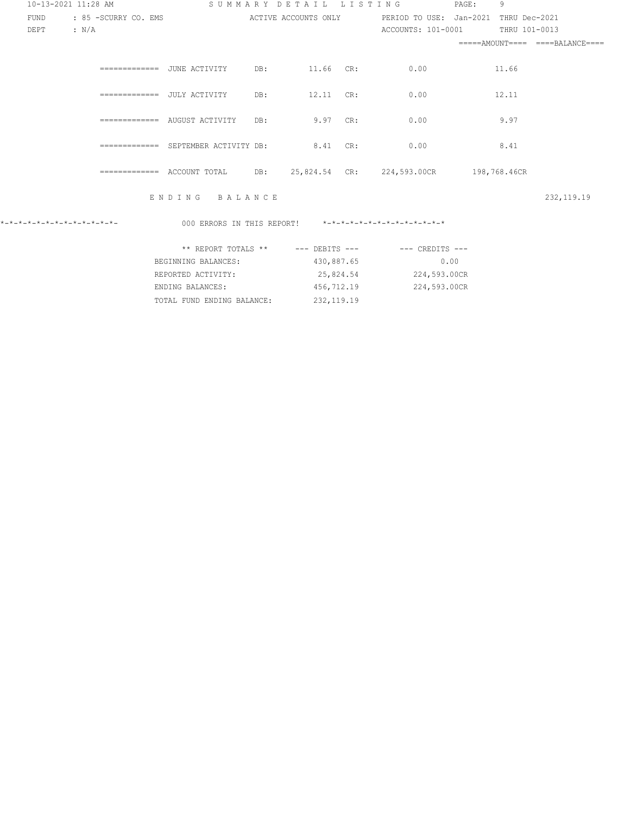| 10-13-2021 11:28 AM          |                  |                      |                                     |     |                   | SUMMARY DETAIL LISTING                                     | PAGE: | 9             |                                 |
|------------------------------|------------------|----------------------|-------------------------------------|-----|-------------------|------------------------------------------------------------|-------|---------------|---------------------------------|
| FUND                         |                  | : 85 -SCURRY CO. EMS |                                     |     |                   | ACTIVE ACCOUNTS ONLY PERIOD TO USE: Jan-2021 THRU Dec-2021 |       |               |                                 |
| DEPT                         | $\therefore$ N/A |                      |                                     |     |                   | ACCOUNTS: 101-0001                                         |       | THRU 101-0013 |                                 |
|                              |                  |                      |                                     |     |                   |                                                            |       |               | $====AMOUNT===$ $===BALANDE===$ |
|                              |                  |                      |                                     | DB: | 11.66 CR:         | 0.00                                                       |       | 11.66         |                                 |
|                              |                  |                      | ============= JULY ACTIVITY         | DB: | 12.11 CR:         | 0.00                                                       |       | 12.11         |                                 |
|                              |                  |                      | ============= AUGUST ACTIVITY       | DB: | $9.97 \text{ CR}$ | 0.00                                                       |       | 9.97          |                                 |
|                              |                  |                      | ============ SEPTEMBER ACTIVITY DB: |     | 8.41 CR:          | 0.00                                                       |       | 8.41          |                                 |
|                              |                  |                      |                                     |     |                   | 25,824.54 CR: 224,593.00CR 198,768.46CR                    |       |               |                                 |
|                              |                  |                      | ENDING BALANCE                      |     |                   |                                                            |       |               | 232, 119.19                     |
| *-*-*-*-*-*-*-*-*-*-*-*-*-*- |                  |                      |                                     |     |                   | 000 ERRORS IN THIS REPORT! *-*-*-*-*-*-*-*-*-*-*-*-*-*-    |       |               |                                 |
|                              |                  |                      |                                     |     |                   | ** REPORT TOTALS ** --- DEBITS --- -- -- CREDITS ---       |       |               |                                 |
|                              |                  |                      | BEGINNING BALANCES:                 |     | 430,887.65        | 0.00                                                       |       |               |                                 |
|                              |                  |                      | REPORTED ACTIVITY:                  |     |                   | 25,824.54 224,593.00CR                                     |       |               |                                 |
|                              |                  |                      | ENDING BALANCES:                    |     | 456,712.19        | 224,593.00CR                                               |       |               |                                 |

TOTAL FUND ENDING BALANCE: 232,119.19